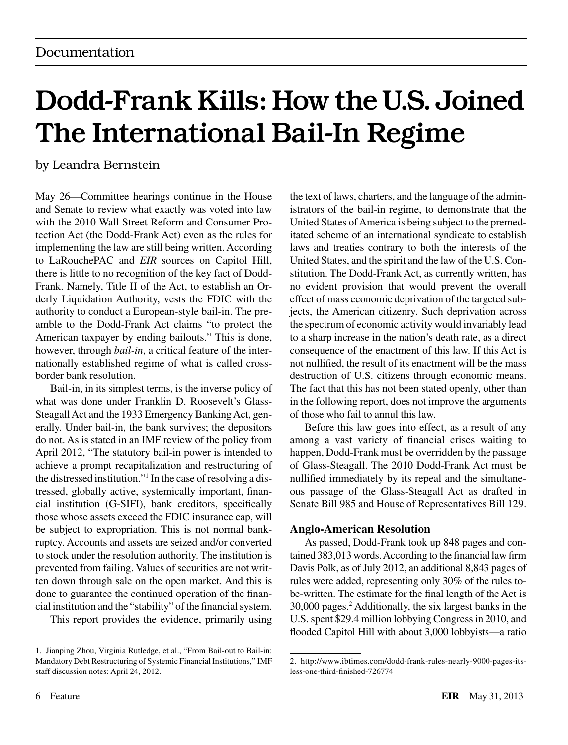# Dodd-Frank Kills: How the U.S. Joined The International Bail-In Regime

by Leandra Bernstein

May 26—Committee hearings continue in the House and Senate to review what exactly was voted into law with the 2010 Wall Street Reform and Consumer Protection Act (the Dodd-Frank Act) even as the rules for implementing the law are still being written. According to LaRouchePAC and *EIR* sources on Capitol Hill, there is little to no recognition of the key fact of Dodd-Frank. Namely, Title II of the Act, to establish an Orderly Liquidation Authority, vests the FDIC with the authority to conduct a European-style bail-in. The preamble to the Dodd-Frank Act claims "to protect the American taxpayer by ending bailouts." This is done, however, through *bail-in*, a critical feature of the internationally established regime of what is called crossborder bank resolution.

Bail-in, in its simplest terms, is the inverse policy of what was done under Franklin D. Roosevelt's Glass-Steagall Act and the 1933 Emergency Banking Act, generally. Under bail-in, the bank survives; the depositors do not. As is stated in an IMF review of the policy from April 2012, "The statutory bail-in power is intended to achieve a prompt recapitalization and restructuring of the distressed institution."1 In the case of resolving a distressed, globally active, systemically important, financial institution (G-SIFI), bank creditors, specifically those whose assets exceed the FDIC insurance cap, will be subject to expropriation. This is not normal bankruptcy. Accounts and assets are seized and/or converted to stock under the resolution authority. The institution is prevented from failing. Values of securities are not written down through sale on the open market. And this is done to guarantee the continued operation of the financial institution and the "stability" of the financial system.

This report provides the evidence, primarily using

the text of laws, charters, and the language of the administrators of the bail-in regime, to demonstrate that the United States of America is being subject to the premeditated scheme of an international syndicate to establish laws and treaties contrary to both the interests of the United States, and the spirit and the law of the U.S. Constitution. The Dodd-Frank Act, as currently written, has no evident provision that would prevent the overall effect of mass economic deprivation of the targeted subjects, the American citizenry. Such deprivation across the spectrum of economic activity would invariably lead to a sharp increase in the nation's death rate, as a direct consequence of the enactment of this law. If this Act is not nullified, the result of its enactment will be the mass destruction of U.S. citizens through economic means. The fact that this has not been stated openly, other than in the following report, does not improve the arguments of those who fail to annul this law.

Before this law goes into effect, as a result of any among a vast variety of financial crises waiting to happen, Dodd-Frank must be overridden by the passage of Glass-Steagall. The 2010 Dodd-Frank Act must be nullified immediately by its repeal and the simultaneous passage of the Glass-Steagall Act as drafted in Senate Bill 985 and House of Representatives Bill 129.

## **Anglo-American Resolution**

As passed, Dodd-Frank took up 848 pages and contained 383,013 words. According to the financial law firm Davis Polk, as of July 2012, an additional 8,843 pages of rules were added, representing only 30% of the rules tobe-written. The estimate for the final length of the Act is 30,000 pages.2 Additionally, the six largest banks in the U.S. spent \$29.4 million lobbying Congress in 2010, and flooded Capitol Hill with about 3,000 lobbyists—a ratio

<sup>1.</sup> Jianping Zhou, Virginia Rutledge, et al., "From Bail-out to Bail-in: Mandatory Debt Restructuring of Systemic Financial Institutions," IMF staff discussion notes: April 24, 2012.

<sup>2.</sup> http://www.ibtimes.com/dodd-frank-rules-nearly-9000-pages-itsless-one-third-finished-726774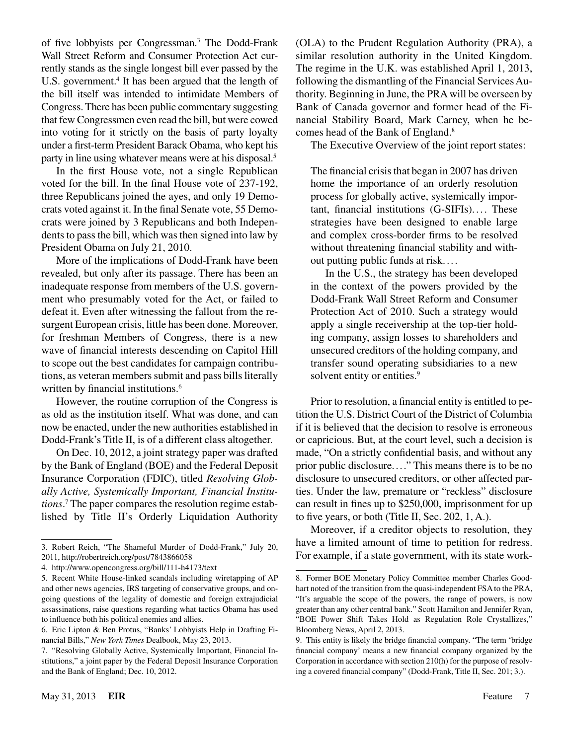of five lobbyists per Congressman.<sup>3</sup> The Dodd-Frank Wall Street Reform and Consumer Protection Act currently stands as the single longest bill ever passed by the U.S. government.<sup>4</sup> It has been argued that the length of the bill itself was intended to intimidate Members of Congress. There has been public commentary suggesting that few Congressmen even read the bill, but were cowed into voting for it strictly on the basis of party loyalty under a first-term President Barack Obama, who kept his party in line using whatever means were at his disposal.5

In the first House vote, not a single Republican voted for the bill. In the final House vote of 237-192, three Republicans joined the ayes, and only 19 Democrats voted against it. In the final Senate vote, 55 Democrats were joined by 3 Republicans and both Independents to pass the bill, which was then signed into law by President Obama on July 21, 2010.

More of the implications of Dodd-Frank have been revealed, but only after its passage. There has been an inadequate response from members of the U.S. government who presumably voted for the Act, or failed to defeat it. Even after witnessing the fallout from the resurgent European crisis, little has been done. Moreover, for freshman Members of Congress, there is a new wave of financial interests descending on Capitol Hill to scope out the best candidates for campaign contributions, as veteran members submit and pass bills literally written by financial institutions.<sup>6</sup>

However, the routine corruption of the Congress is as old as the institution itself. What was done, and can now be enacted, under the new authorities established in Dodd-Frank's Title II, is of a different class altogether.

On Dec. 10, 2012, a joint strategy paper was drafted by the Bank of England (BOE) and the Federal Deposit Insurance Corporation (FDIC), titled *Resolving Globally Active, Systemically Important, Financial Institutions*. 7 The paper compares the resolution regime established by Title II's Orderly Liquidation Authority

(OLA) to the Prudent Regulation Authority (PRA), a similar resolution authority in the United Kingdom. The regime in the U.K. was established April 1, 2013, following the dismantling of the Financial Services Authority. Beginning in June, the PRA will be overseen by Bank of Canada governor and former head of the Financial Stability Board, Mark Carney, when he becomes head of the Bank of England.<sup>8</sup>

The Executive Overview of the joint report states:

The financial crisis that began in 2007 has driven home the importance of an orderly resolution process for globally active, systemically important, financial institutions (G-SIFIs).... These strategies have been designed to enable large and complex cross-border firms to be resolved without threatening financial stability and without putting public funds at risk....

In the U.S., the strategy has been developed in the context of the powers provided by the Dodd-Frank Wall Street Reform and Consumer Protection Act of 2010. Such a strategy would apply a single receivership at the top-tier holding company, assign losses to shareholders and unsecured creditors of the holding company, and transfer sound operating subsidiaries to a new solvent entity or entities.<sup>9</sup>

Prior to resolution, a financial entity is entitled to petition the U.S. District Court of the District of Columbia if it is believed that the decision to resolve is erroneous or capricious. But, at the court level, such a decision is made, "On a strictly confidential basis, and without any prior public disclosure...." This means there is to be no disclosure to unsecured creditors, or other affected parties. Under the law, premature or "reckless" disclosure can result in fines up to \$250,000, imprisonment for up to five years, or both (Title II, Sec. 202, 1, A.).

Moreover, if a creditor objects to resolution, they have a limited amount of time to petition for redress. For example, if a state government, with its state work-

<sup>3.</sup> Robert Reich, "The Shameful Murder of Dodd-Frank," July 20, 2011, http://robertreich.org/post/7843866058

<sup>4.</sup> http://www.opencongress.org/bill/111-h4173/text

<sup>5.</sup> Recent White House-linked scandals including wiretapping of AP and other news agencies, IRS targeting of conservative groups, and ongoing questions of the legality of domestic and foreign extrajudicial assassinations, raise questions regarding what tactics Obama has used to influence both his political enemies and allies.

<sup>6.</sup> Eric Lipton & Ben Protus, "Banks' Lobbyists Help in Drafting Financial Bills," *New York Times* Dealbook, May 23, 2013.

<sup>7.</sup> "Resolving Globally Active, Systemically Important, Financial Institutions," a joint paper by the Federal Deposit Insurance Corporation and the Bank of England; Dec. 10, 2012.

<sup>8.</sup> Former BOE Monetary Policy Committee member Charles Goodhart noted of the transition from the quasi-independent FSA to the PRA, "It's arguable the scope of the powers, the range of powers, is now greater than any other central bank." Scott Hamilton and Jennifer Ryan, "BOE Power Shift Takes Hold as Regulation Role Crystallizes," Bloomberg News, April 2, 2013.

<sup>9.</sup> This entity is likely the bridge financial company. "The term 'bridge financial company' means a new financial company organized by the Corporation in accordance with section 210(h) for the purpose of resolving a covered financial company" (Dodd-Frank, Title II, Sec. 201; 3.).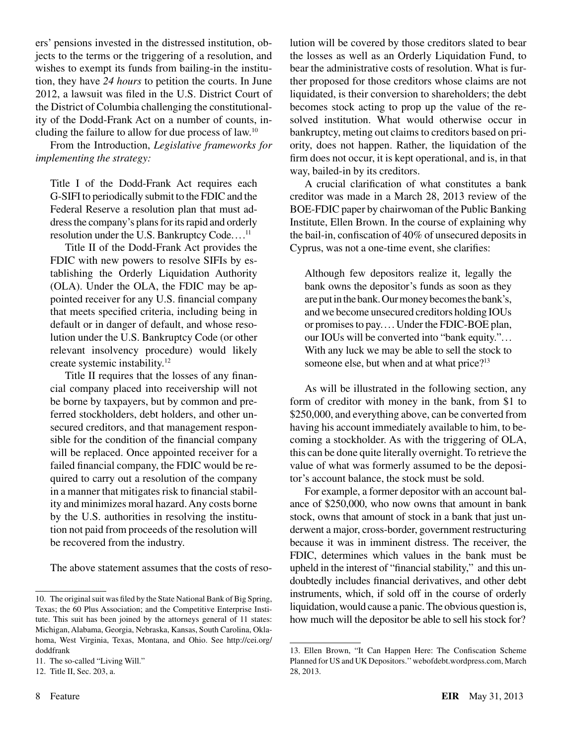ers' pensions invested in the distressed institution, objects to the terms or the triggering of a resolution, and wishes to exempt its funds from bailing-in the institution, they have *24 hours* to petition the courts. In June 2012, a lawsuit was filed in the U.S. District Court of the District of Columbia challenging the constitutionality of the Dodd-Frank Act on a number of counts, including the failure to allow for due process of law.10

From the Introduction, *Legislative frameworks for implementing the strategy:*

Title I of the Dodd-Frank Act requires each G-SIFI to periodically submit to the FDIC and the Federal Reserve a resolution plan that must address the company's plans for its rapid and orderly resolution under the U.S. Bankruptcy Code....<sup>11</sup>

Title II of the Dodd-Frank Act provides the FDIC with new powers to resolve SIFIs by establishing the Orderly Liquidation Authority (OLA). Under the OLA, the FDIC may be appointed receiver for any U.S. financial company that meets specified criteria, including being in default or in danger of default, and whose resolution under the U.S. Bankruptcy Code (or other relevant insolvency procedure) would likely create systemic instability.12

Title II requires that the losses of any financial company placed into receivership will not be borne by taxpayers, but by common and preferred stockholders, debt holders, and other unsecured creditors, and that management responsible for the condition of the financial company will be replaced. Once appointed receiver for a failed financial company, the FDIC would be required to carry out a resolution of the company in a manner that mitigates risk to financial stability and minimizes moral hazard. Any costs borne by the U.S. authorities in resolving the institution not paid from proceeds of the resolution will be recovered from the industry.

The above statement assumes that the costs of reso-

lution will be covered by those creditors slated to bear the losses as well as an Orderly Liquidation Fund, to bear the administrative costs of resolution. What is further proposed for those creditors whose claims are not liquidated, is their conversion to shareholders; the debt becomes stock acting to prop up the value of the resolved institution. What would otherwise occur in bankruptcy, meting out claims to creditors based on priority, does not happen. Rather, the liquidation of the firm does not occur, it is kept operational, and is, in that way, bailed-in by its creditors.

A crucial clarification of what constitutes a bank creditor was made in a March 28, 2013 review of the BOE-FDIC paper by chairwoman of the Public Banking Institute, Ellen Brown. In the course of explaining why the bail-in, confiscation of 40% of unsecured deposits in Cyprus, was not a one-time event, she clarifies:

Although few depositors realize it, legally the bank owns the depositor's funds as soon as they are put in the bank. Our money becomes the bank's, and we become unsecured creditors holding IOUs or promises to pay.... Under the FDIC-BOE plan, our IOUs will be converted into "bank equity."... With any luck we may be able to sell the stock to someone else, but when and at what price?<sup>13</sup>

As will be illustrated in the following section, any form of creditor with money in the bank, from \$1 to \$250,000, and everything above, can be converted from having his account immediately available to him, to becoming a stockholder. As with the triggering of OLA, this can be done quite literally overnight. To retrieve the value of what was formerly assumed to be the depositor's account balance, the stock must be sold.

For example, a former depositor with an account balance of \$250,000, who now owns that amount in bank stock, owns that amount of stock in a bank that just underwent a major, cross-border, government restructuring because it was in imminent distress. The receiver, the FDIC, determines which values in the bank must be upheld in the interest of "financial stability," and this undoubtedly includes financial derivatives, and other debt instruments, which, if sold off in the course of orderly liquidation, would cause a panic. The obvious question is, how much will the depositor be able to sell his stock for?

<sup>10.</sup> The original suit was filed by the State National Bank of Big Spring, Texas; the 60 Plus Association; and the Competitive Enterprise Institute. This suit has been joined by the attorneys general of 11 states: Michigan, Alabama, Georgia, Nebraska, Kansas, South Carolina, Oklahoma, West Virginia, Texas, Montana, and Ohio. See http://cei.org/ doddfrank

<sup>11.</sup> The so-called "Living Will."

<sup>12.</sup> Title II, Sec. 203, a.

<sup>13.</sup> Ellen Brown, "It Can Happen Here: The Confiscation Scheme Planned for US and UK Depositors.'' webofdebt.wordpress.com, March 28, 2013.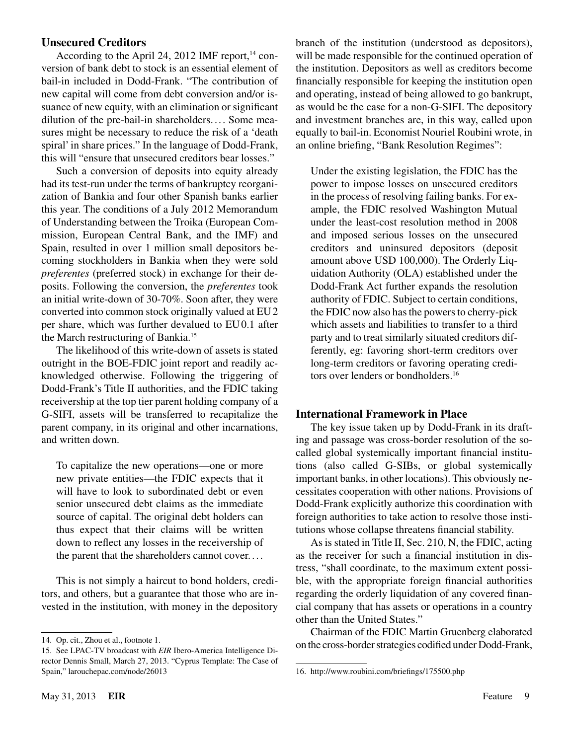### **Unsecured Creditors**

According to the April 24, 2012 IMF report, $14$  conversion of bank debt to stock is an essential element of bail-in included in Dodd-Frank. "The contribution of new capital will come from debt conversion and/or issuance of new equity, with an elimination or significant dilution of the pre-bail-in shareholders.... Some measures might be necessary to reduce the risk of a 'death spiral' in share prices." In the language of Dodd-Frank, this will "ensure that unsecured creditors bear losses."

Such a conversion of deposits into equity already had its test-run under the terms of bankruptcy reorganization of Bankia and four other Spanish banks earlier this year. The conditions of a July 2012 Memorandum of Understanding between the Troika (European Commission, European Central Bank, and the IMF) and Spain, resulted in over 1 million small depositors becoming stockholders in Bankia when they were sold *preferentes* (preferred stock) in exchange for their deposits. Following the conversion, the *preferentes* took an initial write-down of 30-70%. Soon after, they were converted into common stock originally valued at EU2 per share, which was further devalued to EU0.1 after the March restructuring of Bankia.15

The likelihood of this write-down of assets is stated outright in the BOE-FDIC joint report and readily acknowledged otherwise. Following the triggering of Dodd-Frank's Title II authorities, and the FDIC taking receivership at the top tier parent holding company of a G-SIFI, assets will be transferred to recapitalize the parent company, in its original and other incarnations, and written down.

To capitalize the new operations—one or more new private entities—the FDIC expects that it will have to look to subordinated debt or even senior unsecured debt claims as the immediate source of capital. The original debt holders can thus expect that their claims will be written down to reflect any losses in the receivership of the parent that the shareholders cannot cover.. . .

This is not simply a haircut to bond holders, creditors, and others, but a guarantee that those who are invested in the institution, with money in the depository branch of the institution (understood as depositors), will be made responsible for the continued operation of the institution. Depositors as well as creditors become financially responsible for keeping the institution open and operating, instead of being allowed to go bankrupt, as would be the case for a non-G-SIFI. The depository and investment branches are, in this way, called upon equally to bail-in. Economist Nouriel Roubini wrote, in an online briefing, "Bank Resolution Regimes":

Under the existing legislation, the FDIC has the power to impose losses on unsecured creditors in the process of resolving failing banks. For example, the FDIC resolved Washington Mutual under the least-cost resolution method in 2008 and imposed serious losses on the unsecured creditors and uninsured depositors (deposit amount above USD 100,000). The Orderly Liquidation Authority (OLA) established under the Dodd-Frank Act further expands the resolution authority of FDIC. Subject to certain conditions, the FDIC now also has the powers to cherry-pick which assets and liabilities to transfer to a third party and to treat similarly situated creditors differently, eg: favoring short-term creditors over long-term creditors or favoring operating creditors over lenders or bondholders.<sup>16</sup>

### **International Framework in Place**

The key issue taken up by Dodd-Frank in its drafting and passage was cross-border resolution of the socalled global systemically important financial institutions (also called G-SIBs, or global systemically important banks, in other locations). This obviously necessitates cooperation with other nations. Provisions of Dodd-Frank explicitly authorize this coordination with foreign authorities to take action to resolve those institutions whose collapse threatens financial stability.

As is stated in Title II, Sec. 210, N, the FDIC, acting as the receiver for such a financial institution in distress, "shall coordinate, to the maximum extent possible, with the appropriate foreign financial authorities regarding the orderly liquidation of any covered financial company that has assets or operations in a country other than the United States."

Chairman of the FDIC Martin Gruenberg elaborated on the cross-border strategies codified under Dodd-Frank,

<sup>14.</sup> Op. cit., Zhou et al., footnote 1.

<sup>15.</sup> See LPAC-TV broadcast with *EIR* Ibero-America Intelligence Director Dennis Small, March 27, 2013. "Cyprus Template: The Case of Spain," larouchepac.com/node/26013

<sup>16.</sup> http://www.roubini.com/briefings/175500.php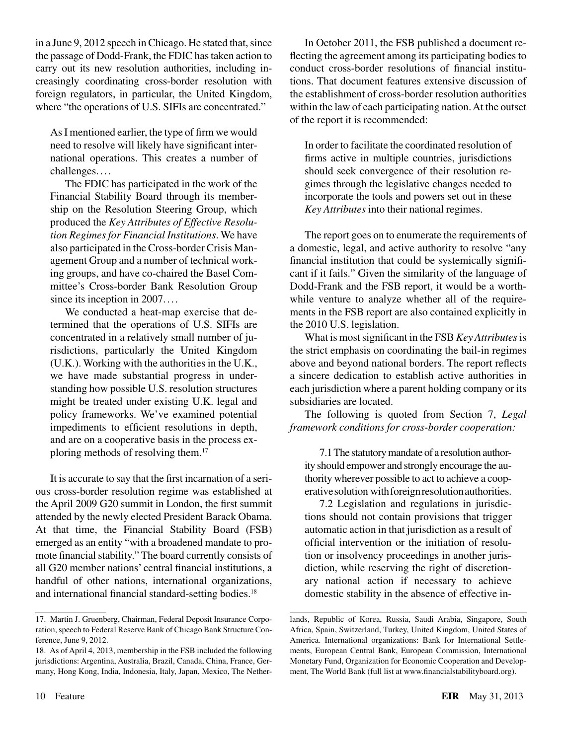in a June 9, 2012 speech in Chicago. He stated that, since the passage of Dodd-Frank, the FDIC has taken action to carry out its new resolution authorities, including increasingly coordinating cross-border resolution with foreign regulators, in particular, the United Kingdom, where "the operations of U.S. SIFIs are concentrated."

As I mentioned earlier, the type of firm we would need to resolve will likely have significant international operations. This creates a number of challenges....

The FDIC has participated in the work of the Financial Stability Board through its membership on the Resolution Steering Group, which produced the *Key Attributes of Effective Resolution Regimes for Financial Institutions*. We have also participated in the Cross-border Crisis Management Group and a number of technical working groups, and have co-chaired the Basel Committee's Cross-border Bank Resolution Group since its inception in 2007....

We conducted a heat-map exercise that determined that the operations of U.S. SIFIs are concentrated in a relatively small number of jurisdictions, particularly the United Kingdom (U.K.). Working with the authorities in the U.K., we have made substantial progress in understanding how possible U.S. resolution structures might be treated under existing U.K. legal and policy frameworks. We've examined potential impediments to efficient resolutions in depth, and are on a cooperative basis in the process exploring methods of resolving them.17

It is accurate to say that the first incarnation of a serious cross-border resolution regime was established at the April 2009 G20 summit in London, the first summit attended by the newly elected President Barack Obama. At that time, the Financial Stability Board (FSB) emerged as an entity "with a broadened mandate to promote financial stability." The board currently consists of all G20 member nations' central financial institutions, a handful of other nations, international organizations, and international financial standard-setting bodies.<sup>18</sup>

In October 2011, the FSB published a document reflecting the agreement among its participating bodies to conduct cross-border resolutions of financial institutions. That document features extensive discussion of the establishment of cross-border resolution authorities within the law of each participating nation. At the outset of the report it is recommended:

In order to facilitate the coordinated resolution of firms active in multiple countries, jurisdictions should seek convergence of their resolution regimes through the legislative changes needed to incorporate the tools and powers set out in these *Key Attributes* into their national regimes.

The report goes on to enumerate the requirements of a domestic, legal, and active authority to resolve "any financial institution that could be systemically significant if it fails." Given the similarity of the language of Dodd-Frank and the FSB report, it would be a worthwhile venture to analyze whether all of the requirements in the FSB report are also contained explicitly in the 2010 U.S. legislation.

What is most significant in the FSB *Key Attributes* is the strict emphasis on coordinating the bail-in regimes above and beyond national borders. The report reflects a sincere dedication to establish active authorities in each jurisdiction where a parent holding company or its subsidiaries are located.

The following is quoted from Section 7, *Legal framework conditions for cross-border cooperation:*

7.1 The statutory mandate of a resolution authority should empower and strongly encourage the authority wherever possible to act to achieve a cooperative solution with foreign resolution authorities.

7.2 Legislation and regulations in jurisdictions should not contain provisions that trigger automatic action in that jurisdiction as a result of official intervention or the initiation of resolution or insolvency proceedings in another jurisdiction, while reserving the right of discretionary national action if necessary to achieve domestic stability in the absence of effective in-

<sup>17.</sup> Martin J. Gruenberg, Chairman, Federal Deposit Insurance Corporation, speech to Federal Reserve Bank of Chicago Bank Structure Conference, June 9, 2012.

<sup>18.</sup> As of April 4, 2013, membership in the FSB included the following jurisdictions: Argentina, Australia, Brazil, Canada, China, France, Germany, Hong Kong, India, Indonesia, Italy, Japan, Mexico, The Nether-

lands, Republic of Korea, Russia, Saudi Arabia, Singapore, South Africa, Spain, Switzerland, Turkey, United Kingdom, United States of America. International organizations: Bank for International Settlements, European Central Bank, European Commission, International Monetary Fund, Organization for Economic Cooperation and Development, The World Bank (full list at www.financialstabilityboard.org).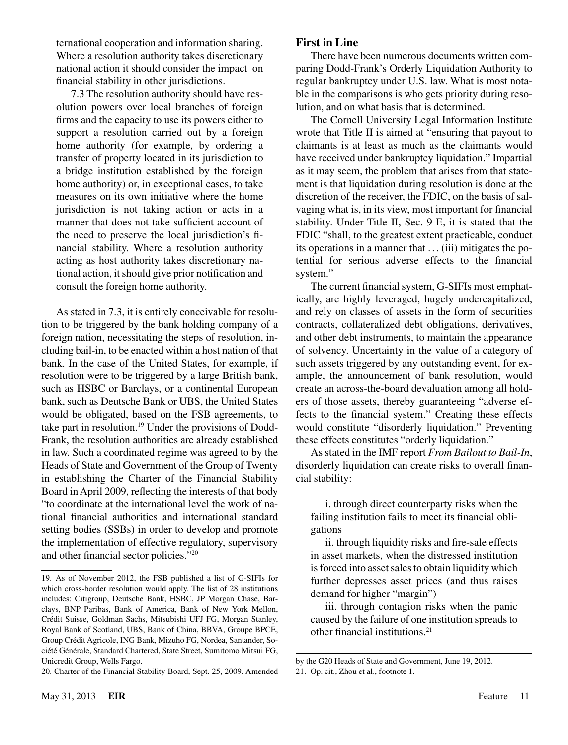ternational cooperation and information sharing. Where a resolution authority takes discretionary national action it should consider the impact on financial stability in other jurisdictions.

7.3 The resolution authority should have resolution powers over local branches of foreign firms and the capacity to use its powers either to support a resolution carried out by a foreign home authority (for example, by ordering a transfer of property located in its jurisdiction to a bridge institution established by the foreign home authority) or, in exceptional cases, to take measures on its own initiative where the home jurisdiction is not taking action or acts in a manner that does not take sufficient account of the need to preserve the local jurisdiction's financial stability. Where a resolution authority acting as host authority takes discretionary national action, it should give prior notification and consult the foreign home authority.

As stated in 7.3, it is entirely conceivable for resolution to be triggered by the bank holding company of a foreign nation, necessitating the steps of resolution, including bail-in, to be enacted within a host nation of that bank. In the case of the United States, for example, if resolution were to be triggered by a large British bank, such as HSBC or Barclays, or a continental European bank, such as Deutsche Bank or UBS, the United States would be obligated, based on the FSB agreements, to take part in resolution.19 Under the provisions of Dodd-Frank, the resolution authorities are already established in law. Such a coordinated regime was agreed to by the Heads of State and Government of the Group of Twenty in establishing the Charter of the Financial Stability Board in April 2009, reflecting the interests of that body "to coordinate at the international level the work of national financial authorities and international standard setting bodies (SSBs) in order to develop and promote the implementation of effective regulatory, supervisory and other financial sector policies."20

20. Charter of the Financial Stability Board, Sept. 25, 2009. Amended

#### **First in Line**

There have been numerous documents written comparing Dodd-Frank's Orderly Liquidation Authority to regular bankruptcy under U.S. law. What is most notable in the comparisons is who gets priority during resolution, and on what basis that is determined.

The Cornell University Legal Information Institute wrote that Title II is aimed at "ensuring that payout to claimants is at least as much as the claimants would have received under bankruptcy liquidation." Impartial as it may seem, the problem that arises from that statement is that liquidation during resolution is done at the discretion of the receiver, the FDIC, on the basis of salvaging what is, in its view, most important for financial stability. Under Title II, Sec. 9 E, it is stated that the FDIC "shall, to the greatest extent practicable, conduct its operations in a manner that . .. (iii) mitigates the potential for serious adverse effects to the financial system."

The current financial system, G-SIFIs most emphatically, are highly leveraged, hugely undercapitalized, and rely on classes of assets in the form of securities contracts, collateralized debt obligations, derivatives, and other debt instruments, to maintain the appearance of solvency. Uncertainty in the value of a category of such assets triggered by any outstanding event, for example, the announcement of bank resolution, would create an across-the-board devaluation among all holders of those assets, thereby guaranteeing "adverse effects to the financial system." Creating these effects would constitute "disorderly liquidation." Preventing these effects constitutes "orderly liquidation."

As stated in the IMF report *From Bailout to Bail-In*, disorderly liquidation can create risks to overall financial stability:

i. through direct counterparty risks when the failing institution fails to meet its financial obligations

ii. through liquidity risks and fire-sale effects in asset markets, when the distressed institution is forced into asset sales to obtain liquidity which further depresses asset prices (and thus raises demand for higher "margin")

iii. through contagion risks when the panic caused by the failure of one institution spreads to other financial institutions.21

<sup>19.</sup> As of November 2012, the FSB published a list of G-SIFIs for which cross-border resolution would apply. The list of 28 institutions includes: Citigroup, Deutsche Bank, HSBC, JP Morgan Chase, Barclays, BNP Paribas, Bank of America, Bank of New York Mellon, Crédit Suisse, Goldman Sachs, Mitsubishi UFJ FG, Morgan Stanley, Royal Bank of Scotland, UBS, Bank of China, BBVA, Groupe BPCE, Group Crédit Agricole, ING Bank, Mizuho FG, Nordea, Santander, Société Générale, Standard Chartered, State Street, Sumitomo Mitsui FG, Unicredit Group, Wells Fargo.

by the G20 Heads of State and Government, June 19, 2012.

<sup>21.</sup> Op. cit., Zhou et al., footnote 1.